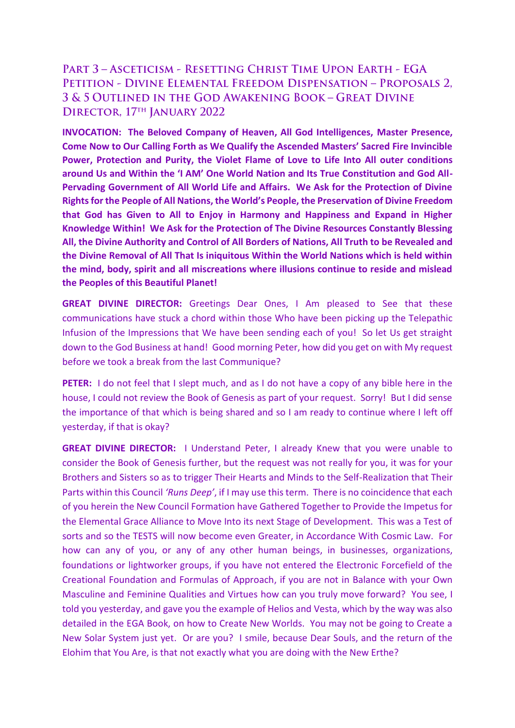# PART 3 - ASCETICISM - RESETTING CHRIST TIME UPON EARTH - EGA PETITION - DIVINE ELEMENTAL FREEDOM DISPENSATION - PROPOSALS 2, 3 & 5 OUTLINED IN THE GOD AWAKENING BOOK - GREAT DIVINE DIRECTOR, 17TH JANUARY 2022

**INVOCATION: The Beloved Company of Heaven, All God Intelligences, Master Presence, Come Now to Our Calling Forth as We Qualify the Ascended Masters' Sacred Fire Invincible Power, Protection and Purity, the Violet Flame of Love to Life Into All outer conditions around Us and Within the 'I AM' One World Nation and Its True Constitution and God All-Pervading Government of All World Life and Affairs. We Ask for the Protection of Divine Rights for the People of All Nations, the World's People, the Preservation of Divine Freedom that God has Given to All to Enjoy in Harmony and Happiness and Expand in Higher Knowledge Within! We Ask for the Protection of The Divine Resources Constantly Blessing All, the Divine Authority and Control of All Borders of Nations, All Truth to be Revealed and the Divine Removal of All That Is iniquitous Within the World Nations which is held within the mind, body, spirit and all miscreations where illusions continue to reside and mislead the Peoples of this Beautiful Planet!** 

**GREAT DIVINE DIRECTOR:** Greetings Dear Ones, I Am pleased to See that these communications have stuck a chord within those Who have been picking up the Telepathic Infusion of the Impressions that We have been sending each of you! So let Us get straight down to the God Business at hand! Good morning Peter, how did you get on with My request before we took a break from the last Communique?

**PETER:** I do not feel that I slept much, and as I do not have a copy of any bible here in the house, I could not review the Book of Genesis as part of your request. Sorry! But I did sense the importance of that which is being shared and so I am ready to continue where I left off yesterday, if that is okay?

**GREAT DIVINE DIRECTOR:** I Understand Peter, I already Knew that you were unable to consider the Book of Genesis further, but the request was not really for you, it was for your Brothers and Sisters so as to trigger Their Hearts and Minds to the Self-Realization that Their Parts within this Council *'Runs Deep'*, if I may use this term. There is no coincidence that each of you herein the New Council Formation have Gathered Together to Provide the Impetus for the Elemental Grace Alliance to Move Into its next Stage of Development. This was a Test of sorts and so the TESTS will now become even Greater, in Accordance With Cosmic Law. For how can any of you, or any of any other human beings, in businesses, organizations, foundations or lightworker groups, if you have not entered the Electronic Forcefield of the Creational Foundation and Formulas of Approach, if you are not in Balance with your Own Masculine and Feminine Qualities and Virtues how can you truly move forward? You see, I told you yesterday, and gave you the example of Helios and Vesta, which by the way was also detailed in the EGA Book, on how to Create New Worlds. You may not be going to Create a New Solar System just yet. Or are you? I smile, because Dear Souls, and the return of the Elohim that You Are, is that not exactly what you are doing with the New Erthe?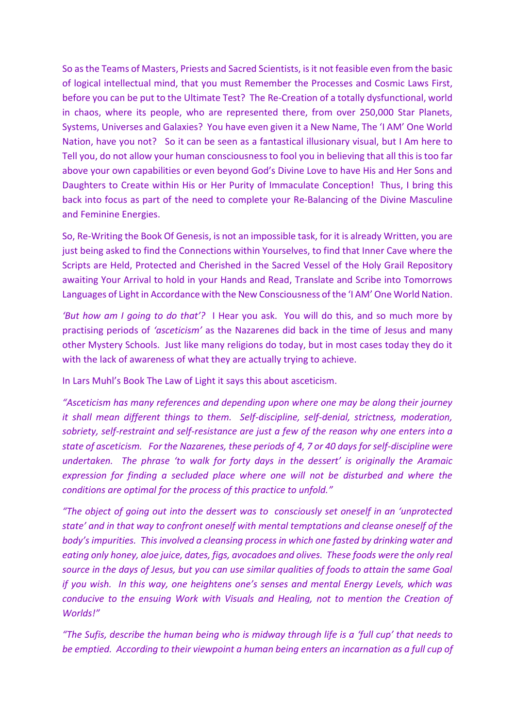So as the Teams of Masters, Priests and Sacred Scientists, is it not feasible even from the basic of logical intellectual mind, that you must Remember the Processes and Cosmic Laws First, before you can be put to the Ultimate Test? The Re-Creation of a totally dysfunctional, world in chaos, where its people, who are represented there, from over 250,000 Star Planets, Systems, Universes and Galaxies? You have even given it a New Name, The 'I AM' One World Nation, have you not? So it can be seen as a fantastical illusionary visual, but I Am here to Tell you, do not allow your human consciousnessto fool you in believing that all this is too far above your own capabilities or even beyond God's Divine Love to have His and Her Sons and Daughters to Create within His or Her Purity of Immaculate Conception! Thus, I bring this back into focus as part of the need to complete your Re-Balancing of the Divine Masculine and Feminine Energies.

So, Re-Writing the Book Of Genesis, is not an impossible task, for it is already Written, you are just being asked to find the Connections within Yourselves, to find that Inner Cave where the Scripts are Held, Protected and Cherished in the Sacred Vessel of the Holy Grail Repository awaiting Your Arrival to hold in your Hands and Read, Translate and Scribe into Tomorrows Languages of Light in Accordance with the New Consciousness of the 'I AM' One World Nation.

*'But how am I going to do that'?* I Hear you ask. You will do this, and so much more by practising periods of *'asceticism'* as the Nazarenes did back in the time of Jesus and many other Mystery Schools. Just like many religions do today, but in most cases today they do it with the lack of awareness of what they are actually trying to achieve.

In Lars Muhl's Book The Law of Light it says this about asceticism.

*"Asceticism has many references and depending upon where one may be along their journey it shall mean different things to them. Self-discipline, self-denial, strictness, moderation, sobriety, self-restraint and self-resistance are just a few of the reason why one enters into a state of asceticism. For the Nazarenes, these periods of 4, 7 or 40 days for self-discipline were undertaken. The phrase 'to walk for forty days in the dessert' is originally the Aramaic expression for finding a secluded place where one will not be disturbed and where the conditions are optimal for the process of this practice to unfold."*

*"The object of going out into the dessert was to consciously set oneself in an 'unprotected state' and in that way to confront oneself with mental temptations and cleanse oneself of the body's impurities. This involved a cleansing process in which one fasted by drinking water and eating only honey, aloe juice, dates, figs, avocadoes and olives. These foods were the only real source in the days of Jesus, but you can use similar qualities of foods to attain the same Goal if you wish. In this way, one heightens one's senses and mental Energy Levels, which was conducive to the ensuing Work with Visuals and Healing, not to mention the Creation of Worlds!"* 

*"The Sufis, describe the human being who is midway through life is a 'full cup' that needs to be emptied. According to their viewpoint a human being enters an incarnation as a full cup of*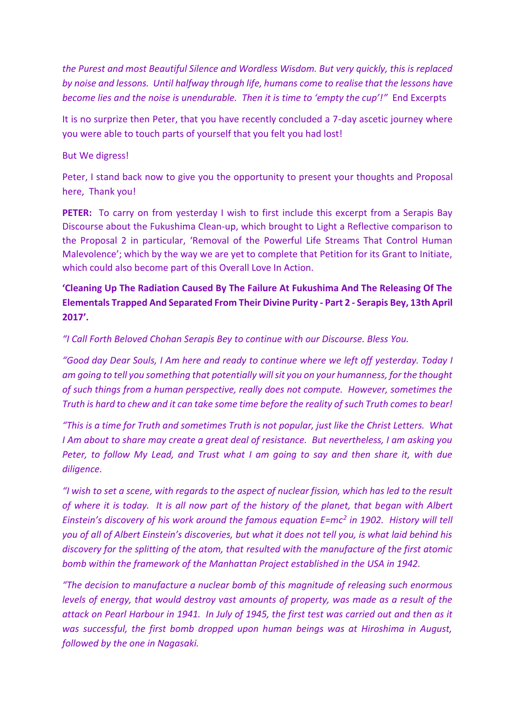*the Purest and most Beautiful Silence and Wordless Wisdom. But very quickly, this is replaced by noise and lessons. Until halfway through life, humans come to realise that the lessons have become lies and the noise is unendurable. Then it is time to 'empty the cup'!"* End Excerpts

It is no surprize then Peter, that you have recently concluded a 7-day ascetic journey where you were able to touch parts of yourself that you felt you had lost!

### But We digress!

Peter, I stand back now to give you the opportunity to present your thoughts and Proposal here, Thank you!

**PETER:** To carry on from yesterday I wish to first include this excerpt from a Serapis Bay Discourse about the Fukushima Clean-up, which brought to Light a Reflective comparison to the Proposal 2 in particular, 'Removal of the Powerful Life Streams That Control Human Malevolence'; which by the way we are yet to complete that Petition for its Grant to Initiate, which could also become part of this Overall Love In Action.

## **'Cleaning Up The Radiation Caused By The Failure At Fukushima And The Releasing Of The Elementals Trapped And Separated From Their Divine Purity - Part 2 - Serapis Bey, 13th April 2017'.**

*"I Call Forth Beloved Chohan Serapis Bey to continue with our Discourse. Bless You.*

*"Good day Dear Souls, I Am here and ready to continue where we left off yesterday. Today I am going to tell you something that potentially will sit you on your humanness, for the thought of such things from a human perspective, really does not compute. However, sometimes the Truth is hard to chew and it can take some time before the reality of such Truth comes to bear!*

*"This is a time for Truth and sometimes Truth is not popular, just like the Christ Letters. What I Am about to share may create a great deal of resistance. But nevertheless, I am asking you Peter, to follow My Lead, and Trust what I am going to say and then share it, with due diligence.*

*"I wish to set a scene, with regards to the aspect of nuclear fission, which has led to the result of where it is today. It is all now part of the history of the planet, that began with Albert Einstein's discovery of his work around the famous equation E=mc<sup>2</sup> in 1902. History will tell you of all of Albert Einstein's discoveries, but what it does not tell you, is what laid behind his discovery for the splitting of the atom, that resulted with the manufacture of the first atomic bomb within the framework of the Manhattan Project established in the USA in 1942.* 

*"The decision to manufacture a nuclear bomb of this magnitude of releasing such enormous levels of energy, that would destroy vast amounts of property, was made as a result of the attack on Pearl Harbour in 1941. In July of 1945, the first test was carried out and then as it was successful, the first bomb dropped upon human beings was at Hiroshima in August, followed by the one in Nagasaki.*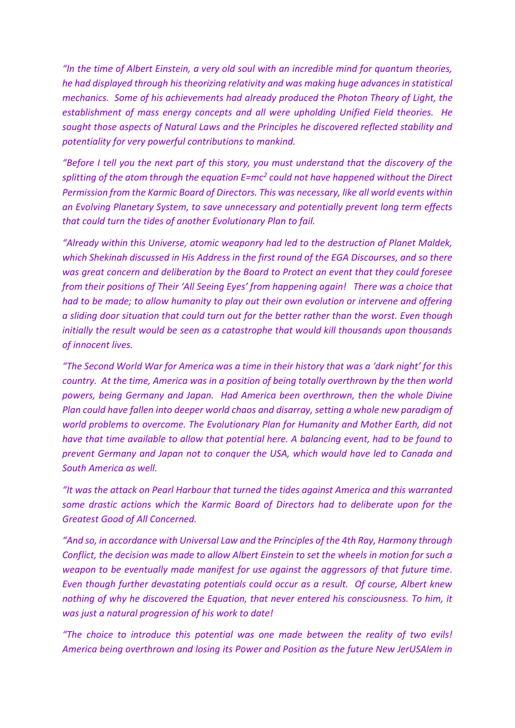*"In the time of Albert Einstein, a very old soul with an incredible mind for quantum theories, he had displayed through his theorizing relativity and was making huge advances in statistical mechanics. Some of his achievements had already produced the Photon Theory of Light, the establishment of mass energy concepts and all were upholding Unified Field theories. He sought those aspects of Natural Laws and the Principles he discovered reflected stability and potentiality for very powerful contributions to mankind.*

*"Before I tell you the next part of this story, you must understand that the discovery of the splitting of the atom through the equation E=mc<sup>2</sup> could not have happened without the Direct Permission from the Karmic Board of Directors. This was necessary, like all world events within an Evolving Planetary System, to save unnecessary and potentially prevent long term effects that could turn the tides of another Evolutionary Plan to fail.* 

*"Already within this Universe, atomic weaponry had led to the destruction of Planet Maldek, which Shekinah discussed in His Address in the first round of the EGA Discourses, and so there was great concern and deliberation by the Board to Protect an event that they could foresee from their positions of Their 'All Seeing Eyes' from happening again! There was a choice that had to be made; to allow humanity to play out their own evolution or intervene and offering a sliding door situation that could turn out for the better rather than the worst. Even though initially the result would be seen as a catastrophe that would kill thousands upon thousands of innocent lives.*

*"The Second World War for America was a time in their history that was a 'dark night' for this country. At the time, America was in a position of being totally overthrown by the then world powers, being Germany and Japan. Had America been overthrown, then the whole Divine Plan could have fallen into deeper world chaos and disarray, setting a whole new paradigm of world problems to overcome. The Evolutionary Plan for Humanity and Mother Earth, did not have that time available to allow that potential here. A balancing event, had to be found to prevent Germany and Japan not to conquer the USA, which would have led to Canada and South America as well.*

*"It was the attack on Pearl Harbour that turned the tides against America and this warranted some drastic actions which the Karmic Board of Directors had to deliberate upon for the Greatest Good of All Concerned.* 

*"And so, in accordance with Universal Law and the Principles of the 4th Ray, Harmony through Conflict, the decision was made to allow Albert Einstein to set the wheels in motion for such a weapon to be eventually made manifest for use against the aggressors of that future time. Even though further devastating potentials could occur as a result. Of course, Albert knew nothing of why he discovered the Equation, that never entered his consciousness. To him, it was just a natural progression of his work to date!*

*"The choice to introduce this potential was one made between the reality of two evils! America being overthrown and losing its Power and Position as the future New JerUSAlem in*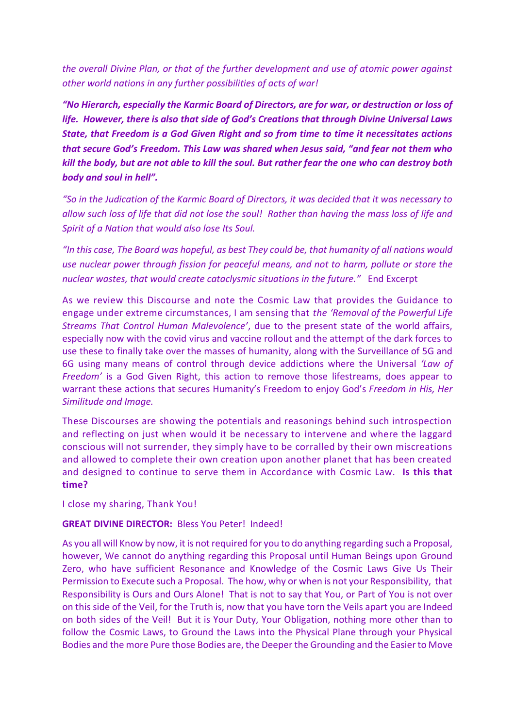*the overall Divine Plan, or that of the further development and use of atomic power against other world nations in any further possibilities of acts of war!*

*"No Hierarch, especially the Karmic Board of Directors, are for war, or destruction or loss of life. However, there is also that side of God's Creations that through Divine Universal Laws State, that Freedom is a God Given Right and so from time to time it necessitates actions that secure God's Freedom. This Law was shared when Jesus said, "and fear not them who kill the body, but are not able to kill the soul. But rather fear the one who can destroy both body and soul in hell".* 

*"So in the Judication of the Karmic Board of Directors, it was decided that it was necessary to allow such loss of life that did not lose the soul! Rather than having the mass loss of life and Spirit of a Nation that would also lose Its Soul.*

*"In this case, The Board was hopeful, as best They could be, that humanity of all nations would use nuclear power through fission for peaceful means, and not to harm, pollute or store the nuclear wastes, that would create cataclysmic situations in the future."* End Excerpt

As we review this Discourse and note the Cosmic Law that provides the Guidance to engage under extreme circumstances, I am sensing that *the 'Removal of the Powerful Life Streams That Control Human Malevolence'*, due to the present state of the world affairs, especially now with the covid virus and vaccine rollout and the attempt of the dark forces to use these to finally take over the masses of humanity, along with the Surveillance of 5G and 6G using many means of control through device addictions where the Universal *'Law of Freedom'* is a God Given Right, this action to remove those lifestreams, does appear to warrant these actions that secures Humanity's Freedom to enjoy God's *Freedom in His, Her Similitude and Image.*

These Discourses are showing the potentials and reasonings behind such introspection and reflecting on just when would it be necessary to intervene and where the laggard conscious will not surrender, they simply have to be corralled by their own miscreations and allowed to complete their own creation upon another planet that has been created and designed to continue to serve them in Accordance with Cosmic Law. **Is this that time?**

I close my sharing, Thank You!

#### **GREAT DIVINE DIRECTOR:** Bless You Peter! Indeed!

As you all will Know by now, it is not required for you to do anything regarding such a Proposal, however, We cannot do anything regarding this Proposal until Human Beings upon Ground Zero, who have sufficient Resonance and Knowledge of the Cosmic Laws Give Us Their Permission to Execute such a Proposal. The how, why or when is not your Responsibility, that Responsibility is Ours and Ours Alone! That is not to say that You, or Part of You is not over on this side of the Veil, for the Truth is, now that you have torn the Veils apart you are Indeed on both sides of the Veil! But it is Your Duty, Your Obligation, nothing more other than to follow the Cosmic Laws, to Ground the Laws into the Physical Plane through your Physical Bodies and the more Pure those Bodies are, the Deeper the Grounding and the Easier to Move